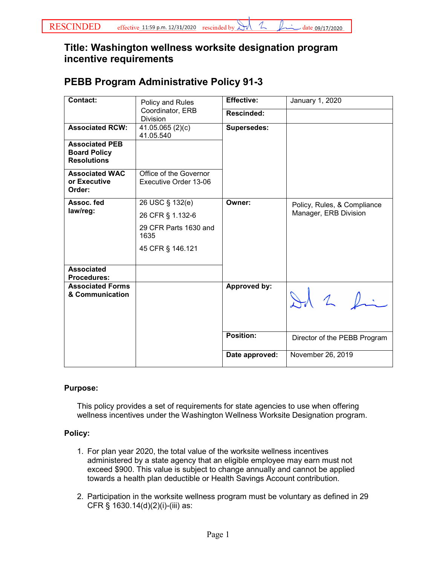## **Title: Washington wellness worksite designation program incentive requirements**

## **PEBB Program Administrative Policy 91-3**

| <b>Contact:</b>                                                    | Policy and Rules<br>Coordinator, ERB<br><b>Division</b> | Effective:         | January 1, 2020                                      |
|--------------------------------------------------------------------|---------------------------------------------------------|--------------------|------------------------------------------------------|
|                                                                    |                                                         | Rescinded:         |                                                      |
| <b>Associated RCW:</b>                                             | 41.05.065(2)(c)<br>41.05.540                            | <b>Supersedes:</b> |                                                      |
| <b>Associated PEB</b><br><b>Board Policy</b><br><b>Resolutions</b> |                                                         |                    |                                                      |
| <b>Associated WAC</b><br>or Executive<br>Order:                    | Office of the Governor<br>Executive Order 13-06         |                    |                                                      |
| Assoc. fed<br>law/reg:                                             | 26 USC § 132(e)                                         | Owner:             | Policy, Rules, & Compliance<br>Manager, ERB Division |
|                                                                    | 26 CFR § 1.132-6                                        |                    |                                                      |
|                                                                    | 29 CFR Parts 1630 and<br>1635                           |                    |                                                      |
|                                                                    | 45 CFR § 146.121                                        |                    |                                                      |
| <b>Associated</b><br><b>Procedures:</b>                            |                                                         |                    |                                                      |
| <b>Associated Forms</b><br>& Communication                         |                                                         | Approved by:       | Id 2 fin                                             |
|                                                                    |                                                         | <b>Position:</b>   | Director of the PEBB Program                         |
|                                                                    |                                                         | Date approved:     | November 26, 2019                                    |

## **Purpose:**

This policy provides a set of requirements for state agencies to use when offering wellness incentives under the Washington Wellness Worksite Designation program.

## **Policy:**

- 1. For plan year 2020, the total value of the worksite wellness incentives administered by a state agency that an eligible employee may earn must not exceed \$900. This value is subject to change annually and cannot be applied towards a health plan deductible or Health Savings Account contribution.
- 2. Participation in the worksite wellness program must be voluntary as defined in 29 CFR § 1630.14(d)(2)(i)-(iii) as: